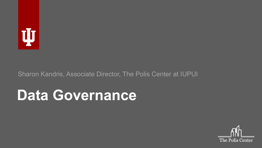

#### Sharon Kandris, Associate Director, The Polis Center at IUPUI

# Data Governance

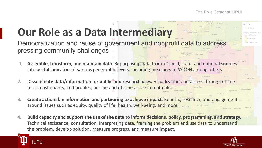The Polis Center at IUPUI

#### **Our Role as a Data Intermediary**

Democratization and reuse of government and nonprofit data to address pressing community challenges

- **1. Assemble, transform, and maintain data**. Repurposing data from 70 local, state, and national sources into useful indicators at various geographic levels, including measures of SSDOH among others
- **2. Disseminate data/information for public and research uses.** Visualization and access through online tools, dashboards, and profiles; on-line and off-line access to data files
- **3. Create actionable information and partnering to achieve impact**. Reports, research, and engagement around issues such as equity, quality of life, health, well-being, and more.
- **4. Build capacity and support the use of the data to inform decisions, policy, programming, and strategy.**  Technical assistance, consultation, interpreting data, framing the problem and use data to understand the problem, develop solution, measure progress, and measure impact.



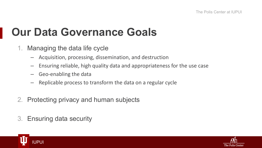### **Our Data Governance Goals**

- 1. Managing the data life cycle
	- Acquisition, processing, dissemination, and destruction
	- Ensuring reliable, high quality data and appropriateness for the use case
	- Geo-enabling the data
	- Replicable process to transform the data on a regular cycle
- 2. Protecting privacy and human subjects
- 3. Ensuring data security